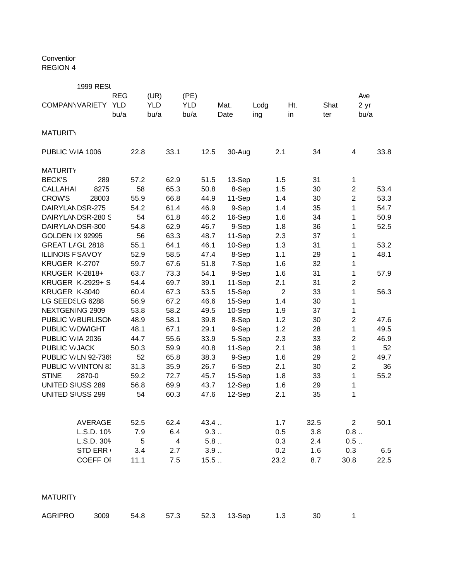Conventior REGION 4

1999 RESI

|                         |                 | <b>REG</b> |      | (UR)       |      | (PE)       |      |        |      |                |      |      | Ave            |      |
|-------------------------|-----------------|------------|------|------------|------|------------|------|--------|------|----------------|------|------|----------------|------|
| <b>COMPANY VARIETY</b>  |                 | <b>YLD</b> |      | <b>YLD</b> |      | <b>YLD</b> |      | Mat.   | Lodg |                | Ht.  | Shat | 2 yr           |      |
|                         |                 | bu/a       |      | bu/a       |      | bu/a       |      | Date   | ing  |                | in   | ter  | bu/a           |      |
|                         |                 |            |      |            |      |            |      |        |      |                |      |      |                |      |
| <b>MATURITY</b>         |                 |            |      |            |      |            |      |        |      |                |      |      |                |      |
| PUBLIC V/IA 1006        |                 |            | 22.8 |            | 33.1 |            | 12.5 | 30-Aug |      | 2.1            | 34   |      | 4              | 33.8 |
| <b>MATURITY</b>         |                 |            |      |            |      |            |      |        |      |                |      |      |                |      |
| <b>BECK'S</b>           | 289             |            | 57.2 |            | 62.9 |            | 51.5 | 13-Sep |      | 1.5            | 31   |      | $\mathbf{1}$   |      |
| <b>CALLAHAI</b>         | 8275            |            | 58   |            | 65.3 |            | 50.8 | 8-Sep  |      | 1.5            | 30   |      | $\overline{c}$ | 53.4 |
| <b>CROW'S</b>           | 28003           |            | 55.9 |            | 66.8 |            | 44.9 | 11-Sep |      | 1.4            | 30   |      | $\overline{c}$ | 53.3 |
| DAIRYLANDSR-275         |                 |            | 54.2 |            | 61.4 |            | 46.9 | 9-Sep  |      | 1.4            | 35   |      | $\mathbf{1}$   | 54.7 |
| DAIRYLANDSR-280 S       |                 |            | 54   |            | 61.8 |            | 46.2 | 16-Sep |      | 1.6            | 34   |      | 1              | 50.9 |
| DAIRYLANDSR-300         |                 |            | 54.8 |            | 62.9 |            | 46.7 | 9-Sep  |      | 1.8            | 36   |      | 1              | 52.5 |
| <b>GOLDEN IX 92995</b>  |                 |            | 56   |            | 63.3 |            | 48.7 | 11-Sep |      | 2.3            | 37   |      | 1              |      |
| GREAT LIGL 2818         |                 |            | 55.1 |            | 64.1 |            | 46.1 | 10-Sep |      | 1.3            | 31   |      | $\mathbf{1}$   | 53.2 |
| <b>ILLINOIS F SAVOY</b> |                 |            | 52.9 |            | 58.5 |            | 47.4 | 8-Sep  |      | 1.1            | 29   |      | $\mathbf{1}$   | 48.1 |
| KRUGER K-2707           |                 |            | 59.7 |            | 67.6 |            | 51.8 | 7-Sep  |      | 1.6            | 32   |      | $\mathbf{1}$   |      |
| KRUGER K-2818+          |                 |            | 63.7 |            | 73.3 |            | 54.1 | 9-Sep  |      | 1.6            | 31   |      | 1              | 57.9 |
| <b>KRUGER K-2929+ S</b> |                 |            | 54.4 |            | 69.7 |            | 39.1 | 11-Sep |      | 2.1            | 31   |      | $\overline{2}$ |      |
| KRUGER K-3040           |                 |            | 60.4 |            | 67.3 |            | 53.5 | 15-Sep |      | $\overline{2}$ | 33   |      | $\mathbf{1}$   | 56.3 |
| LG SEEDSLG 6288         |                 |            | 56.9 |            | 67.2 |            | 46.6 | 15-Sep |      | 1.4            | 30   |      | 1              |      |
| NEXTGEN NG 2909         |                 |            | 53.8 |            | 58.2 |            | 49.5 | 10-Sep |      | 1.9            | 37   |      | $\mathbf{1}$   |      |
| PUBLIC V/BURLISON       |                 |            | 48.9 |            | 58.1 |            | 39.8 | 8-Sep  |      | 1.2            | 30   |      | $\overline{2}$ | 47.6 |
| PUBLIC V/DWIGHT         |                 |            | 48.1 |            | 67.1 |            | 29.1 | 9-Sep  |      | 1.2            | 28   |      | $\mathbf{1}$   | 49.5 |
| PUBLIC V/IA 2036        |                 |            | 44.7 |            | 55.6 |            | 33.9 | 5-Sep  |      | 2.3            | 33   |      | $\overline{c}$ | 46.9 |
| PUBLIC V/JACK           |                 |            | 50.3 |            | 59.9 |            | 40.8 | 11-Sep |      | 2.1            | 38   |      | $\mathbf{1}$   | 52   |
| PUBLIC V/LN 92-736!     |                 |            | 52   |            | 65.8 |            | 38.3 | 9-Sep  |      | 1.6            | 29   |      | $\overline{2}$ | 49.7 |
| PUBLIC V/VINTON 8       |                 |            | 31.3 |            | 35.9 |            | 26.7 | 6-Sep  |      | 2.1            | 30   |      | $\overline{2}$ | 36   |
| <b>STINE</b>            | 2870-0          |            | 59.2 |            | 72.7 |            | 45.7 | 15-Sep |      | 1.8            | 33   |      | $\mathbf{1}$   | 55.2 |
| UNITED SIUSS 289        |                 |            | 56.8 |            | 69.9 |            | 43.7 | 12-Sep |      | 1.6            | 29   |      | $\mathbf{1}$   |      |
| UNITED SIUSS 299        |                 |            | 54   |            | 60.3 |            | 47.6 | 12-Sep |      | 2.1            | 35   |      | 1              |      |
|                         |                 |            |      |            |      |            |      |        |      |                |      |      |                |      |
|                         | AVERAGE         |            | 52.5 |            | 62.4 |            | 43.4 |        |      | 1.7            | 32.5 |      | $\mathbf{2}$   | 50.1 |
|                         | L.S.D. 109      |            | 7.9  |            | 6.4  |            | 9.3  |        |      | 0.5            | 3.8  |      | 0.8            |      |
|                         | L.S.D. 309      |            | 5    |            | 4    |            | 5.8  |        |      | 0.3            | 2.4  |      | 0.5            |      |
|                         | <b>STD ERR</b>  |            | 3.4  |            | 2.7  |            | 3.9  |        |      | 0.2            | 1.6  |      | 0.3            | 6.5  |
|                         | <b>COEFF OI</b> |            | 11.1 |            | 7.5  |            | 15.5 |        |      | 23.2           | 8.7  |      | 30.8           | 22.5 |
|                         |                 |            |      |            |      |            |      |        |      |                |      |      |                |      |
| <b>MATURITY</b>         |                 |            |      |            |      |            |      |        |      |                |      |      |                |      |
|                         |                 |            |      |            |      |            |      |        |      |                |      |      |                |      |
| <b>AGRIPRO</b>          | 3009            |            | 54.8 |            | 57.3 |            | 52.3 | 13-Sep |      | 1.3            | 30   |      | $\mathbf{1}$   |      |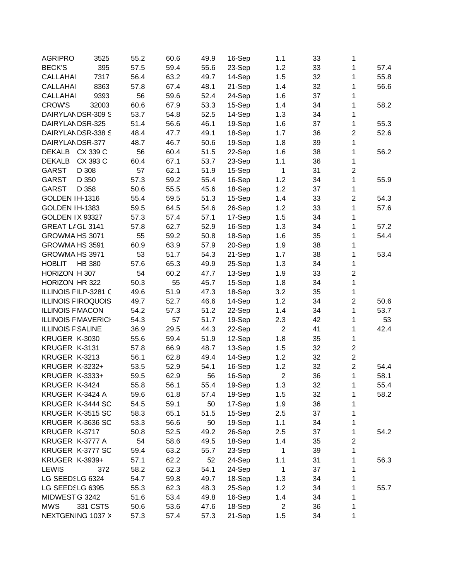| <b>AGRIPRO</b>             | 3525          | 55.2 | 60.6 | 49.9 | 16-Sep | 1.1            | 33 | 1                |      |
|----------------------------|---------------|------|------|------|--------|----------------|----|------------------|------|
| <b>BECK'S</b>              | 395           | 57.5 | 59.4 | 55.6 | 23-Sep | 1.2            | 33 | 1                | 57.4 |
| <b>CALLAHAI</b>            | 7317          | 56.4 | 63.2 | 49.7 | 14-Sep | 1.5            | 32 | 1                | 55.8 |
| <b>CALLAHAI</b>            | 8363          | 57.8 | 67.4 | 48.1 | 21-Sep | 1.4            | 32 | 1                | 56.6 |
| <b>CALLAHAI</b>            | 9393          | 56   | 59.6 | 52.4 | 24-Sep | 1.6            | 37 | 1                |      |
| <b>CROW'S</b>              | 32003         | 60.6 | 67.9 | 53.3 | 15-Sep | 1.4            | 34 | 1                | 58.2 |
| DAIRYLANDSR-309 S          |               | 53.7 | 54.8 | 52.5 | 14-Sep | 1.3            | 34 | 1                |      |
| DAIRYLANDSR-325            |               | 51.4 | 56.6 | 46.1 | 19-Sep | 1.6            | 37 | 1                | 55.3 |
| DAIRYLANDSR-338 S          |               | 48.4 | 47.7 | 49.1 | 18-Sep | 1.7            | 36 | $\overline{2}$   | 52.6 |
| DAIRYLANDSR-377            |               | 48.7 | 46.7 | 50.6 | 19-Sep | 1.8            | 39 | 1                |      |
| <b>DEKALB</b>              | CX 339 C      | 56   | 60.4 | 51.5 | 22-Sep | 1.6            | 38 | 1                | 56.2 |
| DEKALB                     | CX 393 C      | 60.4 | 67.1 | 53.7 | 23-Sep | 1.1            | 36 | 1                |      |
| GARST                      | D 308         | 57   | 62.1 | 51.9 | 15-Sep | 1              | 31 | $\overline{2}$   |      |
| GARST                      | D 350         | 57.3 | 59.2 | 55.4 | 16-Sep | 1.2            | 34 | 1                | 55.9 |
| <b>GARST</b>               | D 358         | 50.6 | 55.5 | 45.6 | 18-Sep | 1.2            | 37 | 1                |      |
| GOLDEN IH-1316             |               | 55.4 | 59.5 | 51.3 | 15-Sep | 1.4            | 33 | $\overline{2}$   | 54.3 |
| GOLDEN IH-1383             |               | 59.5 | 64.5 | 54.6 | 26-Sep | 1.2            | 33 | 1                | 57.6 |
| GOLDEN IX 93327            |               | 57.3 | 57.4 | 57.1 | 17-Sep | 1.5            | 34 | 1                |      |
| GREAT LIGL 3141            |               | 57.8 | 62.7 | 52.9 | 16-Sep | 1.3            | 34 | 1                | 57.2 |
| GROWMA HS 3071             |               | 55   | 59.2 | 50.8 | 18-Sep | 1.6            | 35 | 1                | 54.4 |
| GROWMA HS 3591             |               | 60.9 | 63.9 | 57.9 | 20-Sep | 1.9            | 38 | 1                |      |
| GROWMA HS 3971             |               | 53   | 51.7 | 54.3 | 21-Sep | 1.7            | 38 | 1                | 53.4 |
| <b>HOBLIT</b>              | <b>HB 380</b> | 57.6 | 65.3 | 49.9 | 25-Sep | 1.3            | 34 | 1                |      |
| HORIZON H 307              |               | 54   | 60.2 | 47.7 | 13-Sep | 1.9            | 33 | $\boldsymbol{2}$ |      |
| HORIZON HR 322             |               | 50.3 | 55   | 45.7 | 15-Sep | 1.8            | 34 | 1                |      |
| ILLINOIS FILP-3281 C       |               | 49.6 | 51.9 | 47.3 | 18-Sep | 3.2            | 35 | $\mathbf{1}$     |      |
| <b>ILLINOIS FIROQUOIS</b>  |               |      |      | 46.6 |        | 1.2            | 34 | $\boldsymbol{2}$ |      |
|                            |               | 49.7 | 52.7 |      | 14-Sep |                |    |                  | 50.6 |
| <b>ILLINOIS F MACON</b>    |               | 54.2 | 57.3 | 51.2 | 22-Sep | 1.4            | 34 | 1                | 53.7 |
| <b>ILLINOIS F MAVERICI</b> |               | 54.3 | 57   | 51.7 | 19-Sep | 2.3            | 42 | 1                | 53   |
| <b>ILLINOIS F SALINE</b>   |               | 36.9 | 29.5 | 44.3 | 22-Sep | $\overline{2}$ | 41 | 1                | 42.4 |
| KRUGER K-3030              |               | 55.6 | 59.4 | 51.9 | 12-Sep | 1.8            | 35 | 1                |      |
| KRUGER K-3131              |               | 57.8 | 66.9 | 48.7 | 13-Sep | 1.5            | 32 | $\boldsymbol{2}$ |      |
| KRUGER K-3213              |               | 56.1 | 62.8 | 49.4 | 14-Sep | 1.2            | 32 | $\overline{2}$   |      |
| <b>KRUGER K-3232+</b>      |               | 53.5 | 52.9 | 54.1 | 16-Sep | 1.2            | 32 | $\boldsymbol{2}$ | 54.4 |
| <b>KRUGER K-3333+</b>      |               | 59.5 | 62.9 | 56   | 16-Sep | $\overline{2}$ | 36 | 1                | 58.1 |
| KRUGER K-3424              |               | 55.8 | 56.1 | 55.4 | 19-Sep | 1.3            | 32 | 1                | 55.4 |
| KRUGER K-3424 A            |               | 59.6 | 61.8 | 57.4 | 19-Sep | 1.5            | 32 | 1                | 58.2 |
| KRUGER K-3444 SC           |               | 54.5 | 59.1 | 50   | 17-Sep | 1.9            | 36 | 1                |      |
| KRUGER K-3515 SC           |               | 58.3 | 65.1 | 51.5 | 15-Sep | 2.5            | 37 | 1                |      |
| KRUGER K-3636 SC           |               | 53.3 | 56.6 | 50   | 19-Sep | 1.1            | 34 | 1                |      |
| KRUGER K-3717              |               | 50.8 | 52.5 | 49.2 | 26-Sep | 2.5            | 37 | 1                | 54.2 |
| KRUGER K-3777 A            |               | 54   | 58.6 | 49.5 | 18-Sep | 1.4            | 35 | $\overline{c}$   |      |
| KRUGER K-3777 SC           |               | 59.4 | 63.2 | 55.7 | 23-Sep | 1              | 39 | 1                |      |
| <b>KRUGER K-3939+</b>      |               | 57.1 | 62.2 | 52   | 24-Sep | 1.1            | 31 | 1                | 56.3 |
| <b>LEWIS</b>               | 372           | 58.2 | 62.3 | 54.1 | 24-Sep | 1              | 37 | 1                |      |
| LG SEEDSLG 6324            |               | 54.7 | 59.8 | 49.7 | 18-Sep | 1.3            | 34 | 1                |      |
| LG SEEDSLG 6395            |               | 55.3 | 62.3 | 48.3 | 25-Sep | 1.2            | 34 | 1                | 55.7 |
| MIDWEST G 3242             |               | 51.6 | 53.4 | 49.8 | 16-Sep | 1.4            | 34 | 1                |      |
| <b>MWS</b>                 | 331 CSTS      | 50.6 | 53.6 | 47.6 | 18-Sep | $\overline{2}$ | 36 | 1                |      |
| NEXTGENING 1037 >          |               | 57.3 | 57.4 | 57.3 | 21-Sep | 1.5            | 34 | 1                |      |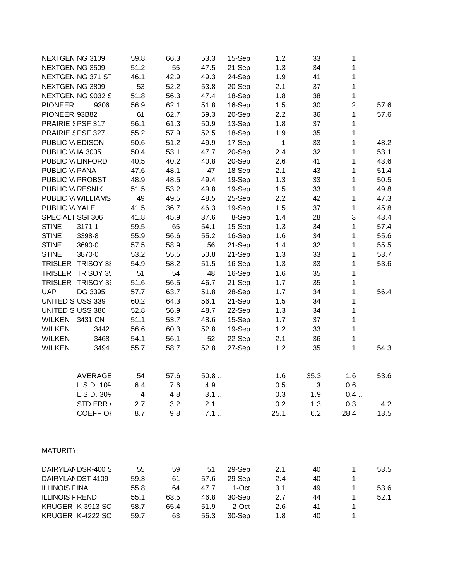| NEXTGEN NG 3109             | 59.8 | 66.3 | 53.3 | 15-Sep | 1.2  | 33   | 1                         |      |
|-----------------------------|------|------|------|--------|------|------|---------------------------|------|
| NEXTGEN NG 3509             | 51.2 | 55   | 47.5 | 21-Sep | 1.3  | 34   | 1                         |      |
| NEXTGEN NG 371 ST           | 46.1 | 42.9 | 49.3 | 24-Sep | 1.9  | 41   | 1                         |      |
| NEXTGEN NG 3809             | 53   | 52.2 | 53.8 | 20-Sep | 2.1  | 37   | 1                         |      |
| NEXTGEN NG 9032 S           | 51.8 | 56.3 | 47.4 | 18-Sep | 1.8  | 38   | 1                         |      |
| <b>PIONEER</b><br>9306      | 56.9 | 62.1 | 51.8 | 16-Sep | 1.5  | 30   | $\overline{c}$            | 57.6 |
| PIONEER 93B82               | 61   | 62.7 | 59.3 | 20-Sep | 2.2  | 36   | 1                         | 57.6 |
| PRAIRIE SPSF 317            | 56.1 | 61.3 | 50.9 | 13-Sep | 1.8  | 37   | 1                         |      |
| PRAIRIE SPSF 327            | 55.2 | 57.9 | 52.5 | 18-Sep | 1.9  | 35   | 1                         |      |
| PUBLIC V/EDISON             | 50.6 | 51.2 | 49.9 | 17-Sep | 1    | 33   | 1                         | 48.2 |
| PUBLIC V/IA 3005            | 50.4 | 53.1 | 47.7 | 20-Sep | 2.4  | 32   | 1                         | 53.1 |
| PUBLIC V/LINFORD            | 40.5 | 40.2 | 40.8 | 20-Sep | 2.6  | 41   | 1                         | 43.6 |
| PUBLIC V/PANA               | 47.6 | 48.1 | 47   | 18-Sep | 2.1  | 43   | 1                         | 51.4 |
| PUBLIC V/ PROBST            | 48.9 | 48.5 | 49.4 | 19-Sep | 1.3  | 33   | 1                         | 50.5 |
| PUBLIC V/ RESNIK            | 51.5 | 53.2 | 49.8 | 19-Sep | 1.5  | 33   | 1                         | 49.8 |
| PUBLIC V/ WILLIAMS          | 49   | 49.5 | 48.5 | 25-Sep | 2.2  | 42   | 1                         | 47.3 |
| PUBLIC V/YALE               | 41.5 | 36.7 | 46.3 | 19-Sep | 1.5  | 37   | $\mathbf{1}$              | 45.8 |
| SPECIALT SGI 306            | 41.8 | 45.9 | 37.6 | 8-Sep  | 1.4  | 28   | $\ensuremath{\mathsf{3}}$ | 43.4 |
| <b>STINE</b><br>$3171 - 1$  | 59.5 | 65   | 54.1 | 15-Sep | 1.3  | 34   | 1                         | 57.4 |
| <b>STINE</b><br>3398-8      | 55.9 | 56.6 | 55.2 | 16-Sep | 1.6  | 34   | 1                         | 55.6 |
| <b>STINE</b><br>3690-0      | 57.5 | 58.9 | 56   | 21-Sep | 1.4  | 32   | 1                         | 55.5 |
| <b>STINE</b><br>3870-0      | 53.2 | 55.5 | 50.8 | 21-Sep | 1.3  | 33   | 1                         | 53.7 |
| TRISLER TRISOY 3.           | 54.9 | 58.2 | 51.5 | 16-Sep | 1.3  | 33   | 1                         | 53.6 |
|                             | 51   | 54   | 48   |        |      |      |                           |      |
| TRISLER TRISOY 35           |      |      |      | 16-Sep | 1.6  | 35   | 1                         |      |
| <b>TRISLER</b><br>TRISOY 36 | 51.6 | 56.5 | 46.7 | 21-Sep | 1.7  | 35   | 1                         |      |
| <b>UAP</b><br>DG 3395       | 57.7 | 63.7 | 51.8 | 28-Sep | 1.7  | 34   | 1                         | 56.4 |
| UNITED SIUSS 339            | 60.2 | 64.3 | 56.1 | 21-Sep | 1.5  | 34   | 1                         |      |
| UNITED SIUSS 380            | 52.8 | 56.9 | 48.7 | 22-Sep | 1.3  | 34   | 1                         |      |
| WILKEN 3431 CN              | 51.1 | 53.7 | 48.6 | 15-Sep | 1.7  | 37   | 1                         |      |
| <b>WILKEN</b><br>3442       | 56.6 | 60.3 | 52.8 | 19-Sep | 1.2  | 33   | 1                         |      |
| 3468<br><b>WILKEN</b>       | 54.1 | 56.1 | 52   | 22-Sep | 2.1  | 36   | 1                         |      |
| <b>WILKEN</b><br>3494       | 55.7 | 58.7 | 52.8 | 27-Sep | 1.2  | 35   | 1                         | 54.3 |
| <b>AVERAGE</b>              | 54   | 57.6 | 50.8 |        | 1.6  | 35.3 | 1.6                       | 53.6 |
| L.S.D. 109                  | 6.4  | 7.6  | 4.9  |        | 0.5  | 3    | 0.6                       |      |
| L.S.D. 309                  | 4    | 4.8  | 3.1  |        | 0.3  | 1.9  | 0.4                       |      |
| STD ERR                     | 2.7  | 3.2  | 2.1  |        | 0.2  | 1.3  | 0.3                       | 4.2  |
| <b>COEFF OI</b>             | 8.7  | 9.8  | 7.1  |        | 25.1 | 6.2  | 28.4                      | 13.5 |
| <b>MATURITY</b>             |      |      |      |        |      |      |                           |      |
|                             |      |      |      |        |      |      |                           |      |
| DAIRYLANDSR-400 S           | 55   | 59   | 51   | 29-Sep | 2.1  | 40   | 1                         | 53.5 |
| DAIRYLANDST 4109            | 59.3 | 61   | 57.6 | 29-Sep | 2.4  | 40   | 1                         |      |
| <b>ILLINOIS FINA</b>        | 55.8 | 64   | 47.7 | 1-Oct  | 3.1  | 49   | 1                         | 53.6 |
| <b>ILLINOIS F REND</b>      | 55.1 | 63.5 | 46.8 | 30-Sep | 2.7  | 44   | 1                         | 52.1 |
| KRUGER K-3913 SC            | 58.7 | 65.4 | 51.9 | 2-Oct  | 2.6  | 41   | 1                         |      |
| KRUGER K-4222 SC            | 59.7 | 63   | 56.3 | 30-Sep | 1.8  | 40   | 1                         |      |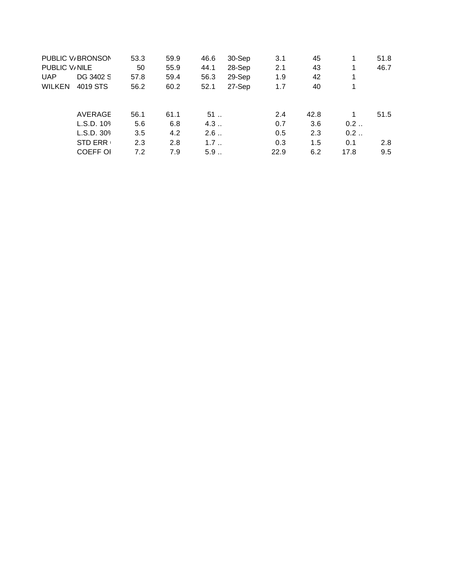|               | PUBLIC V/BRONSON | 53.3 | 59.9 | 46.6 | 30-Sep | 3.1  | 45   | 1    | 51.8 |
|---------------|------------------|------|------|------|--------|------|------|------|------|
| PUBLIC V/NILE |                  | 50   | 55.9 | 44.1 | 28-Sep | 2.1  | 43   | 1    | 46.7 |
| <b>UAP</b>    | DG 3402 S        | 57.8 | 59.4 | 56.3 | 29-Sep | 1.9  | 42   | 1    |      |
| <b>WILKEN</b> | 4019 STS         | 56.2 | 60.2 | 52.1 | 27-Sep | 1.7  | 40   | 1    |      |
|               |                  |      |      |      |        |      |      |      |      |
|               | AVERAGE          | 56.1 | 61.1 | 51   |        | 2.4  | 42.8 |      | 51.5 |
|               | L.S.D. 109       | 5.6  | 6.8  | 4.3  |        | 0.7  | 3.6  | 0.2  |      |
|               | L.S.D. 30%       | 3.5  | 4.2  | 2.6  |        | 0.5  | 2.3  | 0.2  |      |
|               | <b>STD ERR</b>   | 2.3  | 2.8  | 1.7  |        | 0.3  | 1.5  | 0.1  | 2.8  |
|               | <b>COEFF OI</b>  | 7.2  | 7.9  | 5.9  |        | 22.9 | 6.2  | 17.8 | 9.5  |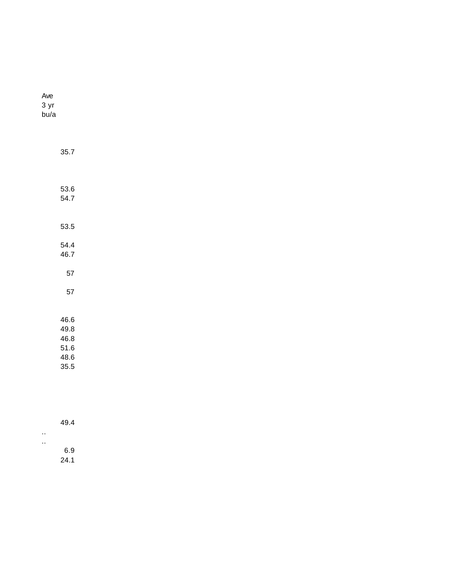| Ave<br>3 yr<br>bu/a |                                              |  |  |  |  |  |
|---------------------|----------------------------------------------|--|--|--|--|--|
|                     | 35.7                                         |  |  |  |  |  |
|                     | 53.6<br>54.7                                 |  |  |  |  |  |
|                     | 53.5                                         |  |  |  |  |  |
|                     | 54.4<br>46.7<br>57                           |  |  |  |  |  |
|                     | 57                                           |  |  |  |  |  |
|                     | 46.6<br>49.8<br>46.8<br>51.6<br>48.6<br>35.5 |  |  |  |  |  |

| 49.4 |  |
|------|--|
|      |  |
| 6.9  |  |
| 24.1 |  |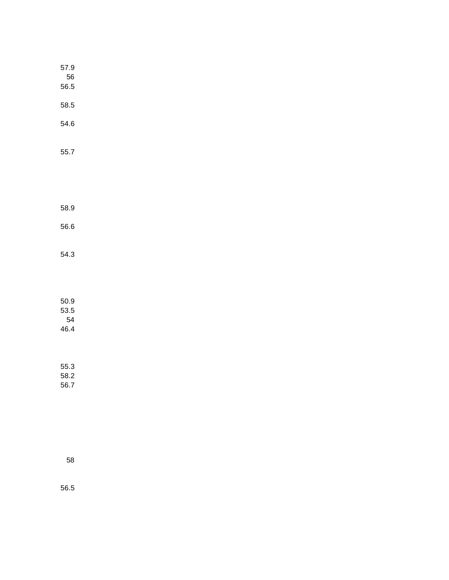| 57.9<br>56<br>56.5 |  |  |  |
|--------------------|--|--|--|
|                    |  |  |  |
| 58.5               |  |  |  |
| 54.6               |  |  |  |
| $55.7\,$           |  |  |  |
|                    |  |  |  |
| 58.9               |  |  |  |
| 56.6               |  |  |  |
| 54.3               |  |  |  |
| $50.9\,$           |  |  |  |
| 53.5               |  |  |  |
| 54<br>46.4         |  |  |  |
| 55.3               |  |  |  |
| 58.2               |  |  |  |
| 56.7               |  |  |  |

58

56.5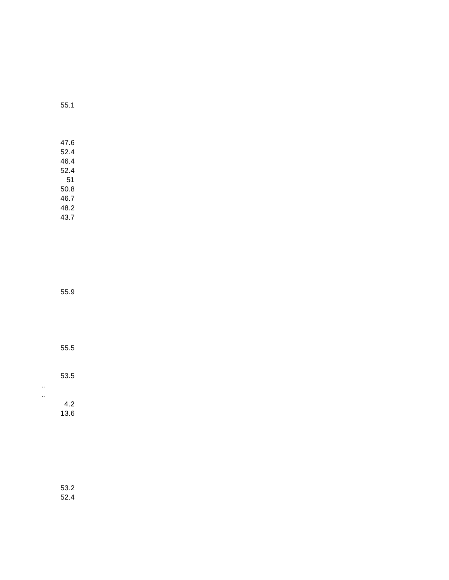55.1

47.6 52.4 46.4 52.4 51 50.8 46.7 48.2 43.7

55.9

55.5

53.5

..

..

4.2 13.6

53.2 52.4